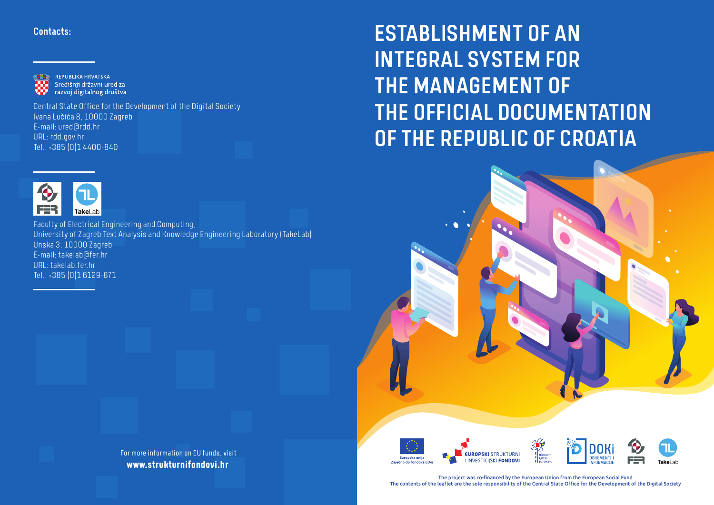### Contacts:



Central State Office for the Development of the Digital Society Ivana Lučića 8, 10000 Zagreb E-mail: ured@rdd.hr URL: rdd.gov.hr Tel.: +385 (0)1 4400-840



Faculty of Electrical Engineering and Computing, University of Zagreb Text Analysis and Knowledge Engineering Laboratory (TakeLab) Unska 3, 10000 Zagreb E-mail: takelab@fer.hr URL: takelab.fer.hr Tel.: +385 (0)1 6129-871

> For more information on EU funds, visit **www.strukturnifondovi.hr**

ESTABLISHMENT OF AN INTEGRAL SYSTEM FOR THE MANAGEMENT OF THE OFFICIAL DOCUMENTATION OF THE REPUBLIC OF CROATIA





The project was co-financed by the European Union from the European Social Fund The contents of the leaflet are the sole responsibility of the Central State Office for the Development of the Digital Society